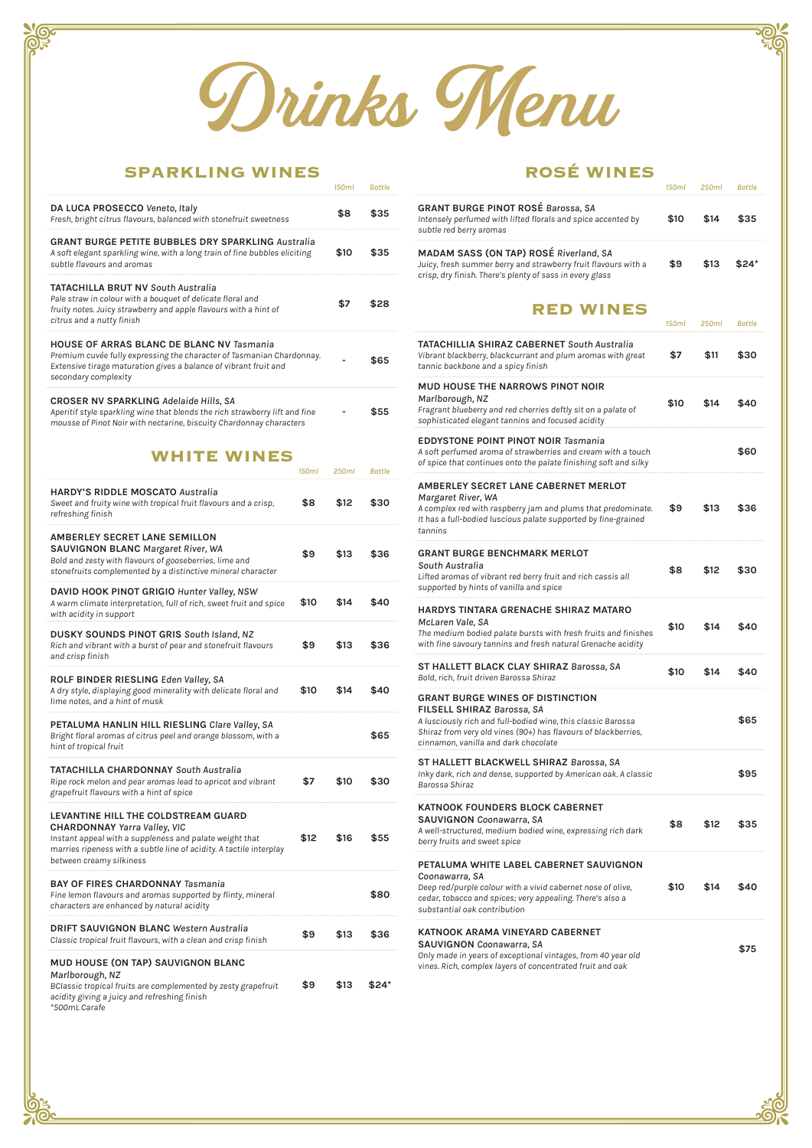# Drinks Menu

#### **SPARKLING WINES**

|                                                                                                                                                                                                                                          |       | 150ml | <b>Bottle</b> |
|------------------------------------------------------------------------------------------------------------------------------------------------------------------------------------------------------------------------------------------|-------|-------|---------------|
| DA LUCA PROSECCO Veneto, Italy<br>Fresh, bright citrus flavours, balanced with stonefruit sweetness                                                                                                                                      |       | \$8   | \$35          |
| <b>GRANT BURGE PETITE BUBBLES DRY SPARKLING Australia</b><br>A soft elegant sparkling wine, with a long train of fine bubbles eliciting<br>subtle flavours and aromas                                                                    |       | \$10  | \$35          |
| <b>TATACHILLA BRUT NV South Australia</b><br>Pale straw in colour with a bouquet of delicate floral and<br>fruity notes. Juicy strawberry and apple flavours with a hint of<br>citrus and a nutty finish                                 |       | \$7   | \$28          |
| <b>HOUSE OF ARRAS BLANC DE BLANC NV Tasmania</b><br>Premium cuvée fully expressing the character of Tasmanian Chardonnay.<br>Extensive tirage maturation gives a balance of vibrant fruit and<br>secondary complexity                    |       |       | \$65          |
| CROSER NV SPARKLING Adelaide Hills, SA<br>Aperitif style sparkling wine that blends the rich strawberry lift and fine<br>mousse of Pinot Noir with nectarine, biscuity Chardonnay characters                                             |       |       | \$55          |
| <b>WHITE WINES</b>                                                                                                                                                                                                                       | 150ml | 250ml | <b>Bottle</b> |
| HARDY'S RIDDLE MOSCATO Australia<br>Sweet and fruity wine with tropical fruit flavours and a crisp,<br>refreshing finish                                                                                                                 | \$8   | \$12  | \$30          |
| AMBERLEY SECRET LANE SEMILLON<br><b>SAUVIGNON BLANC Margaret River, WA</b><br>Bold and zesty with flavours of gooseberries, lime and<br>stonefruits complemented by a distinctive mineral character                                      | \$9   | \$13  | \$36          |
| DAVID HOOK PINOT GRIGIO Hunter Valley, NSW<br>A warm climate interpretation, full of rich, sweet fruit and spice<br>with acidity in support                                                                                              | \$10  | \$14  | \$40          |
| DUSKY SOUNDS PINOT GRIS South Island, NZ<br>Rich and vibrant with a burst of pear and stonefruit flavours<br>and crisp finish                                                                                                            | \$9   | \$13  | \$36          |
| ROLF BINDER RIESLING Eden Valley, SA<br>A dry style, displaying good minerality with delicate floral and<br>lime notes, and a hint of musk                                                                                               | \$10  | \$14  | \$40          |
| PETALUMA HANLIN HILL RIESLING Clare Valley, SA<br>Bright floral aromas of citrus peel and orange blossom, with a<br>hint of tropical fruit                                                                                               |       |       | \$65          |
| <b>TATACHILLA CHARDONNAY South Australia</b><br>Ripe rock melon and pear aromas lead to apricot and vibrant<br>grapefruit flavours with a hint of spice                                                                                  | \$7   | \$10  | \$30          |
| LEVANTINE HILL THE COLDSTREAM GUARD<br><b>CHARDONNAY Yarra Valley, VIC</b><br>Instant appeal with a suppleness and palate weight that<br>marries ripeness with a subtle line of acidity. A tactile interplay<br>between creamy silkiness | \$12  | \$16  | \$55          |
| <b>BAY OF FIRES CHARDONNAY Tasmania</b><br>Fine lemon flavours and aromas supported by flinty, mineral<br>characters are enhanced by natural acidity                                                                                     |       |       | \$80          |
| DRIFT SAUVIGNON BLANC Western Australia<br>Classic tropical fruit flavours, with a clean and crisp finish                                                                                                                                | \$9   | \$13  | \$36          |
| <b>MUD HOUSE (ON TAP) SAUVIGNON BLANC</b><br>Marlborough, NZ<br>BClassic tropical fruits are complemented by zesty grapefruit<br>acidity giving a juicy and refreshing finish<br>*500mL Carafe                                           | \$9   | \$13  | \$24*         |

### **ROSÉ WINES**

|                                                                                                                                                                                                                                                 | 150ml | 250ml | <b>Bottle</b> |
|-------------------------------------------------------------------------------------------------------------------------------------------------------------------------------------------------------------------------------------------------|-------|-------|---------------|
| GRANT BURGE PINOT ROSÉ Barossa, SA<br>Intensely perfumed with lifted florals and spice accented by<br>subtle red berry aromas                                                                                                                   | \$10  | \$14  | \$35          |
| MADAM SASS (ON TAP) ROSÉ Riverland. SA<br>Juicy, fresh summer berry and strawberry fruit flavours with a<br>crisp, dry finish. There's plenty of sass in every glass                                                                            | \$9   | \$13  | \$24*         |
| <b>RED WINES</b>                                                                                                                                                                                                                                | 150ml | 250ml | <b>Bottle</b> |
| TATACHILLIA SHIRAZ CABERNET South Australia<br>Vibrant blackberry, blackcurrant and plum aromas with great<br>tannic backbone and a spicy finish                                                                                                | \$7   | \$11  | \$30          |
| MUD HOUSE THE NARROWS PINOT NOIR<br>Marlborough, NZ<br>Fragrant blueberry and red cherries deftly sit on a palate of<br>sophisticated elegant tannins and focused acidity                                                                       | \$10  | \$14  | \$40          |
| <b>EDDYSTONE POINT PINOT NOIR Tasmania</b><br>A soft perfumed aroma of strawberries and cream with a touch<br>of spice that continues onto the palate finishing soft and silky                                                                  |       |       | \$60          |
| AMBERLEY SECRET LANE CABERNET MERLOT<br>Margaret River, WA<br>A complex red with raspberry jam and plums that predominate.<br>It has a full-bodied luscious palate supported by fine-grained<br>tannins                                         | \$9   | \$13  | \$36          |
| GRANT BURGE BENCHMARK MERLOT<br>South Australia<br>Lifted aromas of vibrant red berry fruit and rich cassis all<br>supported by hints of vanilla and spice                                                                                      | \$8   | \$12  | \$30          |
| HARDYS TINTARA GRENACHE SHIRAZ MATARO<br>McLaren Vale, SA<br>The medium bodied palate bursts with fresh fruits and finishes<br>with fine savoury tannins and fresh natural Grenache acidity                                                     | \$10  | \$14  | \$40          |
| ST HALLETT BLACK CLAY SHIRAZ Barossa, SA<br>Bold, rich, fruit driven Barossa Shiraz                                                                                                                                                             | \$10  | \$14  | \$40          |
| <b>GRANT BURGE WINES OF DISTINCTION</b><br>FILSELL SHIRAZ Barossa, SA<br>A lusciously rich and full-bodied wine, this classic Barossa<br>Shiraz from very old vines (90+) has flavours of blackberries,<br>cinnamon, vanilla and dark chocolate |       |       | \$65          |
| ST HALLETT BLACKWELL SHIRAZ Barossa, SA<br>Inky dark, rich and dense, supported by American oak. A classic<br>Barossa Shiraz                                                                                                                    |       |       | \$95          |
| KATNOOK FOUNDERS BLOCK CABERNET<br>SAUVIGNON Coonawarra, SA<br>A well-structured, medium bodied wine, expressing rich dark<br>berry fruits and sweet spice                                                                                      | \$8   | \$12  | \$35          |
| PETALUMA WHITE LABEL CABERNET SAUVIGNON<br>Coonawarra, SA<br>Deep red/purple colour with a vivid cabernet nose of olive,<br>cedar, tobacco and spices; very appealing. There's also a<br>substantial oak contribution                           | \$10  | \$14  | \$40          |
| KATNOOK ARAMA VINEYARD CABERNET<br>SAUVIGNON Coonawarra, SA<br>Only made in years of exceptional vintages, from 40 year old<br>vines. Rich, complex layers of concentrated fruit and oak                                                        |       |       | \$75          |